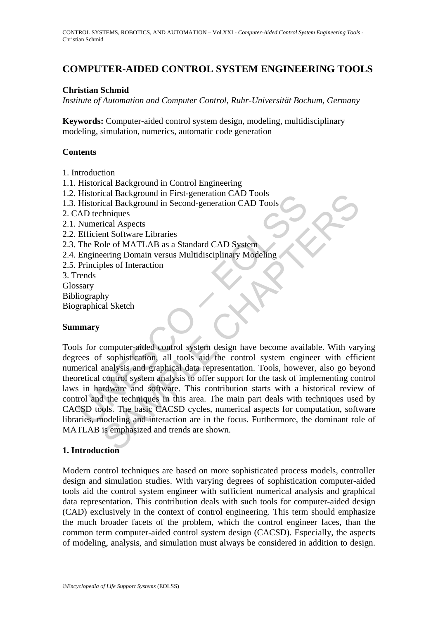# **COMPUTER-AIDED CONTROL SYSTEM ENGINEERING TOOLS**

### **Christian Schmid**

*Institute of Automation and Computer Control, Ruhr-Universität Bochum, Germany*

**Keywords:** Computer-aided control system design, modeling, multidisciplinary modeling, simulation, numerics, automatic code generation

#### **Contents**

- 1. Introduction
- 1.1. Historical Background in Control Engineering
- 1.2. Historical Background in First-generation CAD Tools
- 1.3. Historical Background in Second-generation CAD Tools
- 2. CAD techniques
- 2.1. Numerical Aspects
- 2.2. Efficient Software Libraries
- 2.3. The Role of MATLAB as a Standard CAD System
- 2.4. Engineering Domain versus Multidisciplinary Modeling
- 2.5. Principles of Interaction
- 3. Trends
- Glossary
- Bibliography
- Biographical Sketch

#### **Summary**

Thistorical Background in First-generation CAD Tools<br>
Historical Background in Second-generation CAD Tools<br>
AD techniques<br>
Numerical Aspects<br>
Efficient Software Libraries<br>
The Role of MATLAB as a Standard CAD System<br>
Engin Example In First-generation CAD Tools<br>
Cical Background in Second-generation CAD Tools<br>
chaptions<br>
thraigues<br>
thraigues<br>
thraigues<br>
thraigues<br>
of MATLAB as a Standard CAD System<br>
pering Domain versus Multidisciplinary Mode Tools for computer-aided control system design have become available. With varying degrees of sophistication, all tools aid the control system engineer with efficient numerical analysis and graphical data representation. Tools, however, also go beyond theoretical control system analysis to offer support for the task of implementing control laws in hardware and software. This contribution starts with a historical review of control and the techniques in this area. The main part deals with techniques used by CACSD tools. The basic CACSD cycles, numerical aspects for computation, software libraries, modeling and interaction are in the focus. Furthermore, the dominant role of MATLAB is emphasized and trends are shown.

#### **1. Introduction**

Modern control techniques are based on more sophisticated process models, controller design and simulation studies. With varying degrees of sophistication computer-aided tools aid the control system engineer with sufficient numerical analysis and graphical data representation. This contribution deals with such tools for computer-aided design (CAD) exclusively in the context of control engineering. This term should emphasize the much broader facets of the problem, which the control engineer faces, than the common term computer-aided control system design (CACSD). Especially, the aspects of modeling, analysis, and simulation must always be considered in addition to design.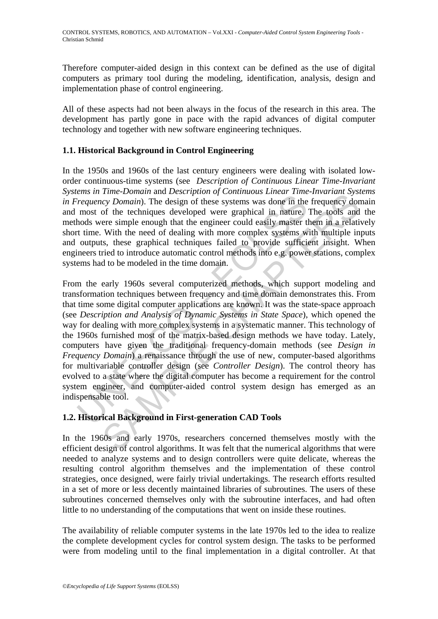Therefore computer-aided design in this context can be defined as the use of digital computers as primary tool during the modeling, identification, analysis, design and implementation phase of control engineering.

All of these aspects had not been always in the focus of the research in this area. The development has partly gone in pace with the rapid advances of digital computer technology and together with new software engineering techniques.

# **1.1. Historical Background in Control Engineering**

In the 1950s and 1960s of the last century engineers were dealing with isolated loworder continuous-time systems (see *Description of Continuous Linear Time-Invariant Systems in Time-Domain* and *Description of Continuous Linear Time-Invariant Systems in Frequency Domain*). The design of these systems was done in the frequency domain and most of the techniques developed were graphical in nature. The tools and the methods were simple enough that the engineer could easily master them in a relatively short time. With the need of dealing with more complex systems with multiple inputs and outputs, these graphical techniques failed to provide sufficient insight. When engineers tried to introduce automatic control methods into e.g. power stations, complex systems had to be modeled in the time domain.

*Fraquency Domain*). The design of these systems was done in the most of the techniques developed were graphical in nature, hods were simple enough that the engineer could easily master the most of the techniques develope Finder Domain and Description of Communial Enter Finder Times (Fig. Domain). The design of these systems was done in the frequency door the techniques developed were graphical in nature. The tools and ere simple enough th From the early 1960s several computerized methods, which support modeling and transformation techniques between frequency and time domain demonstrates this. From that time some digital computer applications are known. It was the state-space approach (see *Description and Analysis of Dynamic Systems in State Space*), which opened the way for dealing with more complex systems in a systematic manner. This technology of the 1960s furnished most of the matrix-based design methods we have today. Lately, computers have given the traditional frequency-domain methods (see *Design in Frequency Domain*) a renaissance through the use of new, computer-based algorithms for multivariable controller design (see *Controller Design*). The control theory has evolved to a state where the digital computer has become a requirement for the control system engineer, and computer-aided control system design has emerged as an indispensable tool.

### **1.2. Historical Background in First-generation CAD Tools**

In the 1960s and early 1970s, researchers concerned themselves mostly with the efficient design of control algorithms. It was felt that the numerical algorithms that were needed to analyze systems and to design controllers were quite delicate, whereas the resulting control algorithm themselves and the implementation of these control strategies, once designed, were fairly trivial undertakings. The research efforts resulted in a set of more or less decently maintained libraries of subroutines. The users of these subroutines concerned themselves only with the subroutine interfaces, and had often little to no understanding of the computations that went on inside these routines.

The availability of reliable computer systems in the late 1970s led to the idea to realize the complete development cycles for control system design. The tasks to be performed were from modeling until to the final implementation in a digital controller. At that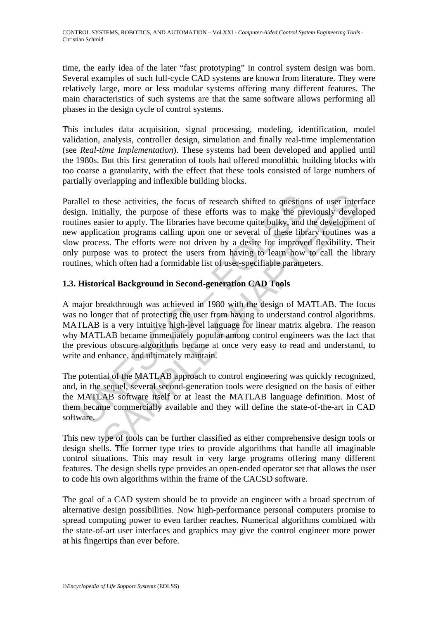time, the early idea of the later "fast prototyping" in control system design was born. Several examples of such full-cycle CAD systems are known from literature. They were relatively large, more or less modular systems offering many different features. The main characteristics of such systems are that the same software allows performing all phases in the design cycle of control systems.

This includes data acquisition, signal processing, modeling, identification, model validation, analysis, controller design, simulation and finally real-time implementation (see *Real-time Implementation*). These systems had been developed and applied until the 1980s. But this first generation of tools had offered monolithic building blocks with too coarse a granularity, with the effect that these tools consisted of large numbers of partially overlapping and inflexible building blocks.

allel to these activities, the focus of research shifted to question<br>gn. Initially, the purpose of these efforts was to make the pre-<br>ines easier to apply. The libraries have become quite bulky, and t<br>application programs these activities, the focus of research shifted to questions of user intertially, the purpose of these efforts was to make the previously develorier to apply. The libraries have become quite bulky, and the development cali Parallel to these activities, the focus of research shifted to questions of user interface design. Initially, the purpose of these efforts was to make the previously developed routines easier to apply. The libraries have become quite bulky, and the development of new application programs calling upon one or several of these library routines was a slow process. The efforts were not driven by a desire for improved flexibility. Their only purpose was to protect the users from having to learn how to call the library routines, which often had a formidable list of user-specifiable parameters.

# **1.3. Historical Background in Second-generation CAD Tools**

A major breakthrough was achieved in 1980 with the design of MATLAB. The focus was no longer that of protecting the user from having to understand control algorithms. MATLAB is a very intuitive high-level language for linear matrix algebra. The reason why MATLAB became immediately popular among control engineers was the fact that the previous obscure algorithms became at once very easy to read and understand, to write and enhance, and ultimately maintain.

The potential of the MATLAB approach to control engineering was quickly recognized, and, in the sequel, several second-generation tools were designed on the basis of either the MATLAB software itself or at least the MATLAB language definition. Most of them became commercially available and they will define the state-of-the-art in CAD software.

This new type of tools can be further classified as either comprehensive design tools or design shells. The former type tries to provide algorithms that handle all imaginable control situations. This may result in very large programs offering many different features. The design shells type provides an open-ended operator set that allows the user to code his own algorithms within the frame of the CACSD software.

The goal of a CAD system should be to provide an engineer with a broad spectrum of alternative design possibilities. Now high-performance personal computers promise to spread computing power to even farther reaches. Numerical algorithms combined with the state-of-art user interfaces and graphics may give the control engineer more power at his fingertips than ever before.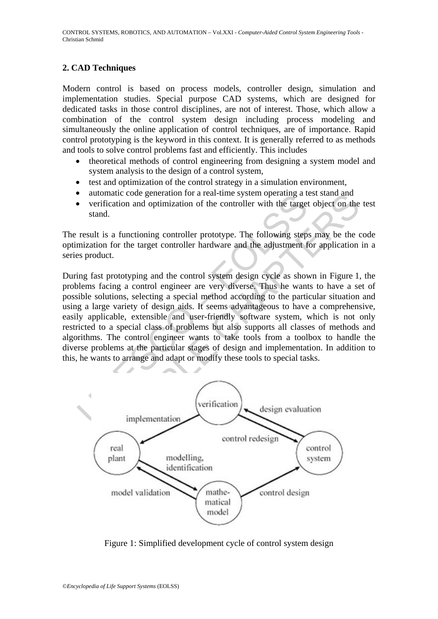# **2. CAD Techniques**

Modern control is based on process models, controller design, simulation and implementation studies. Special purpose CAD systems, which are designed for dedicated tasks in those control disciplines, are not of interest. Those, which allow a combination of the control system design including process modeling and simultaneously the online application of control techniques, are of importance. Rapid control prototyping is the keyword in this context. It is generally referred to as methods and tools to solve control problems fast and efficiently. This includes

- theoretical methods of control engineering from designing a system model and system analysis to the design of a control system,
- test and optimization of the control strategy in a simulation environment,
- automatic code generation for a real-time system operating a test stand and
- verification and optimization of the controller with the target object on the test stand.

The result is a functioning controller prototype. The following steps may be the code optimization for the target controller hardware and the adjustment for application in a series product.

ational code generation for a real-time system operating a verification and optimization of the controller with the target stand.<br>
result is a functioning controller prototype. The following step<br>
mization for the target c matic code generation for a real-time system operating a test stand and<br>fitcation and optimization of the controller with the target object on the<br>is a functioning controller prototype. The following steps may be the or<br>in During fast prototyping and the control system design cycle as shown in Figure 1, the problems facing a control engineer are very diverse. Thus he wants to have a set of possible solutions, selecting a special method according to the particular situation and using a large variety of design aids. It seems advantageous to have a comprehensive, easily applicable, extensible and user-friendly software system, which is not only restricted to a special class of problems but also supports all classes of methods and algorithms. The control engineer wants to take tools from a toolbox to handle the diverse problems at the particular stages of design and implementation. In addition to this, he wants to arrange and adapt or modify these tools to special tasks.



Figure 1: Simplified development cycle of control system design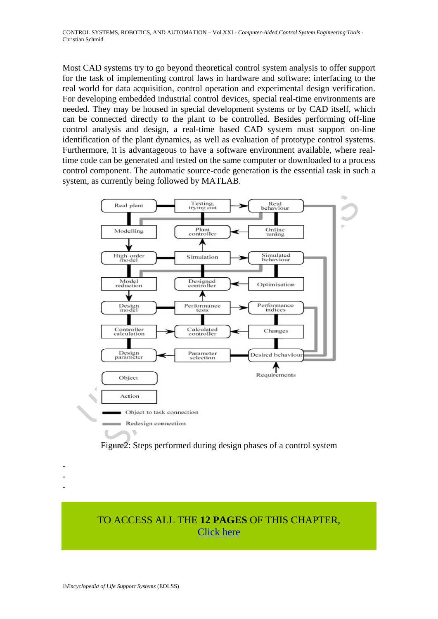Most CAD systems try to go beyond theoretical control system analysis to offer support for the task of implementing control laws in hardware and software: interfacing to the real world for data acquisition, control operation and experimental design verification. For developing embedded industrial control devices, special real-time environments are needed. They may be housed in special development systems or by CAD itself, which can be connected directly to the plant to be controlled. Besides performing off-line control analysis and design, a real-time based CAD system must support on-line identification of the plant dynamics, as well as evaluation of prototype control systems. Furthermore, it is advantageous to have a software environment available, where realtime code can be generated and tested on the same computer or downloaded to a process control component. The automatic source-code generation is the essential task in such a system, as currently being followed by MATLAB.





TO ACCESS ALL THE **12 PAGES** OF THIS CHAPTER, [Click here](https://www.eolss.net/ebooklib/sc_cart.aspx?File=E6-43-37-05)

- - -